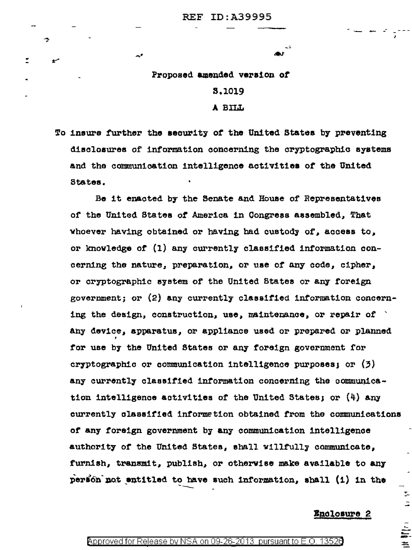Proposed amended version of **S.1019** A BILL

 $\mathcal{A}^{\#}$ 

÷,

To insure further the security of the United States by preventing disclosures of information concerning the cryptographic systems and the communication intelligence activities of the United States.

Be it enacted by the Senate and House of Representatives of the United States of America in Congress assembled, That whoever having obtained or having had custody of, access to, or knowledge of (1) any currently classified information concerning the nature, preparation, or use of any code, cipher, or cryptographic system of the United States or any foreign government; or (2) any currently classified information concerning the design, construction, use, maintenance, or repair of  $\rightarrow$ any device, apparatus, or appliance used or prepared or planned for use by the United States or any foreign government for cryptographic or communication intelligence purposes; or  $(3)$ any currently classified information concerning the communication intelligence activities of the United States; or  $(4)$  any currently classified information obtained from the communications of any foreign government by any communication intelligence authority of the United States, shall willfully communicate, furnish, transmit, publish, or otherwise make available to any person not entitled to have such information, shall (i) in the

## Enclosure 2

 $\overline{\mathbb{Z}}$  $\ddot{z}$ 

 $\equiv$ 

## Approved for Release by NSA on 09-26-2013 pursuant to E.O. 13526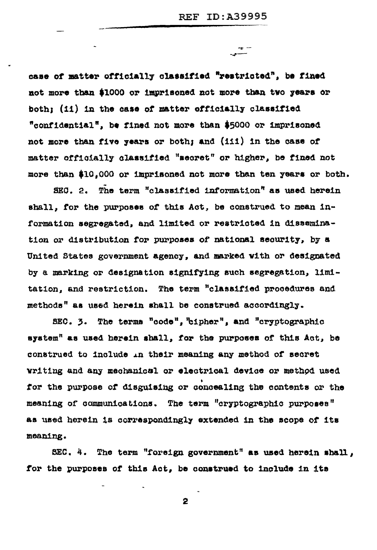-e 1

case of matter officially classified "restricted", be fined not more than \$1000 or imprisoned not more than two years or both; (ii) in the case of matter officially classified "confidential", be fined not more than \$5000 or imprisoned not more than five years or both; and (iii) in the case of matter officially classified "secret" or higher, be fined not more than \$10,000 or imprisoned not more than ten years or both.

SEG. 2. The term "classified information" as used herein shall, for the purposes of this Act, be construed to mean information segregated, and limited or restricted in dissemination or distribution for purposes of national security, by a United States government agency, and marked with or designated by a marking or designation signifying such segregation, limitation, and restriction. The term "classified procedures and methods" as used herein shall be construed accordingly.

SEC. 3. The terms "code", "cipher", and "cryptographic system" as used herein shall, for the purposes of this Act, be construed to include in their meaning any method of secret writing and any mechanical or electrical device or method used for the purpose of disguising or concealing the contents or the meaning of communications. The term "cryptographic purposes" as used herein is correspondingly extended in the scope of its meaning.

SEC. 4. The term "foreign government" as used herein shall, for the purposes of this Act, be construed to include in its

2